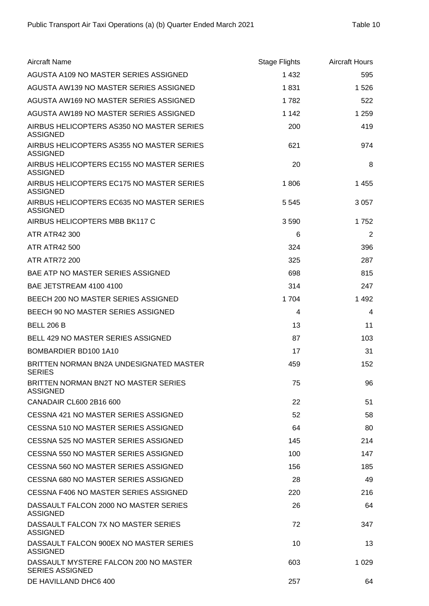| <b>Aircraft Name</b>                                            | <b>Stage Flights</b> | <b>Aircraft Hours</b> |
|-----------------------------------------------------------------|----------------------|-----------------------|
| AGUSTA A109 NO MASTER SERIES ASSIGNED                           | 1 4 3 2              | 595                   |
| AGUSTA AW139 NO MASTER SERIES ASSIGNED                          | 1831                 | 1 5 2 6               |
| AGUSTA AW169 NO MASTER SERIES ASSIGNED                          | 1782                 | 522                   |
| AGUSTA AW189 NO MASTER SERIES ASSIGNED                          | 1 1 4 2              | 1 2 5 9               |
| AIRBUS HELICOPTERS AS350 NO MASTER SERIES<br><b>ASSIGNED</b>    | 200                  | 419                   |
| AIRBUS HELICOPTERS AS355 NO MASTER SERIES<br><b>ASSIGNED</b>    | 621                  | 974                   |
| AIRBUS HELICOPTERS EC155 NO MASTER SERIES<br><b>ASSIGNED</b>    | 20                   | 8                     |
| AIRBUS HELICOPTERS EC175 NO MASTER SERIES<br><b>ASSIGNED</b>    | 1806                 | 1 4 5 5               |
| AIRBUS HELICOPTERS EC635 NO MASTER SERIES<br><b>ASSIGNED</b>    | 5 5 4 5              | 3 0 5 7               |
| AIRBUS HELICOPTERS MBB BK117 C                                  | 3590                 | 1752                  |
| <b>ATR ATR42 300</b>                                            | 6                    | 2                     |
| <b>ATR ATR42 500</b>                                            | 324                  | 396                   |
| <b>ATR ATR72 200</b>                                            | 325                  | 287                   |
| BAE ATP NO MASTER SERIES ASSIGNED                               | 698                  | 815                   |
| BAE JETSTREAM 4100 4100                                         | 314                  | 247                   |
| BEECH 200 NO MASTER SERIES ASSIGNED                             | 1704                 | 1 4 9 2               |
| BEECH 90 NO MASTER SERIES ASSIGNED                              | 4                    | 4                     |
| <b>BELL 206 B</b>                                               | 13                   | 11                    |
| BELL 429 NO MASTER SERIES ASSIGNED                              | 87                   | 103                   |
| BOMBARDIER BD100 1A10                                           | 17                   | 31                    |
| BRITTEN NORMAN BN2A UNDESIGNATED MASTER<br><b>SERIES</b>        | 459                  | 152                   |
| BRITTEN NORMAN BN2T NO MASTER SERIES<br><b>ASSIGNED</b>         | 75                   | 96                    |
| CANADAIR CL600 2B16 600                                         | 22                   | 51                    |
| CESSNA 421 NO MASTER SERIES ASSIGNED                            | 52                   | 58                    |
| CESSNA 510 NO MASTER SERIES ASSIGNED                            | 64                   | 80                    |
| CESSNA 525 NO MASTER SERIES ASSIGNED                            | 145                  | 214                   |
| CESSNA 550 NO MASTER SERIES ASSIGNED                            | 100                  | 147                   |
| CESSNA 560 NO MASTER SERIES ASSIGNED                            | 156                  | 185                   |
| CESSNA 680 NO MASTER SERIES ASSIGNED                            | 28                   | 49                    |
| CESSNA F406 NO MASTER SERIES ASSIGNED                           | 220                  | 216                   |
| DASSAULT FALCON 2000 NO MASTER SERIES<br><b>ASSIGNED</b>        | 26                   | 64                    |
| DASSAULT FALCON 7X NO MASTER SERIES<br>ASSIGNED                 | 72                   | 347                   |
| DASSAULT FALCON 900EX NO MASTER SERIES<br><b>ASSIGNED</b>       | 10                   | 13                    |
| DASSAULT MYSTERE FALCON 200 NO MASTER<br><b>SERIES ASSIGNED</b> | 603                  | 1 0 2 9               |
| DE HAVILLAND DHC6 400                                           | 257                  | 64                    |